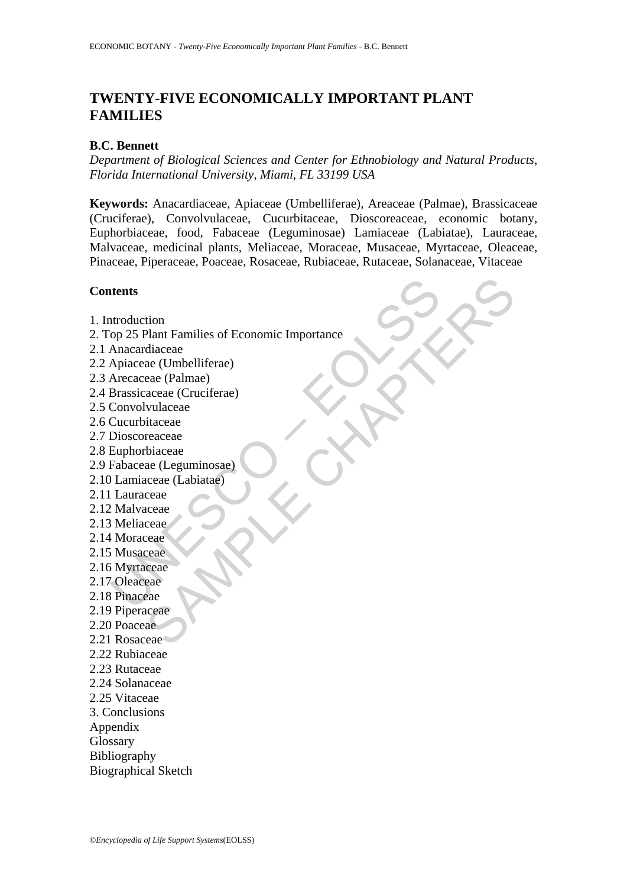# **TWENTY-FIVE ECONOMICALLY IMPORTANT PLANT FAMILIES**

## **B.C. Bennett**

*Department of Biological Sciences and Center for Ethnobiology and Natural Products, Florida International University, Miami, FL 33199 USA* 

**Keywords:** Anacardiaceae, Apiaceae (Umbelliferae), Areaceae (Palmae), Brassicaceae (Cruciferae), Convolvulaceae, Cucurbitaceae, Dioscoreaceae, economic botany, Euphorbiaceae, food, Fabaceae (Leguminosae) Lamiaceae (Labiatae), Lauraceae, Malvaceae, medicinal plants, Meliaceae, Moraceae, Musaceae, Myrtaceae, Oleaceae, Pinaceae, Piperaceae, Poaceae, Rosaceae, Rubiaceae, Rutaceae, Solanaceae, Vitaceae

## **Contents**

- 1. Introduction
- ntroduction<br>
op 25 Plant Families of Economic Importance<br>
Anacardiaceae<br>
Anacardiaceae (Umbelliferae)<br>
Arceaceae (Palmae)<br>
Brassicaceae (Cruciferae)<br>
Convolvulaceae<br>
Cucurbitaceae<br>
Fabaceae (Leguminosae)<br>
Lamiaceae (Labiat SAMPLE CHAPTERS 2. Top 25 Plant Families of Economic Importance
- 2.1 Anacardiaceae
- 2.2 Apiaceae (Umbelliferae)
- 2.3 Arecaceae (Palmae)
- 2.4 Brassicaceae (Cruciferae)
- 2.5 Convolvulaceae
- 2.6 Cucurbitaceae
- 2.7 Dioscoreaceae
- 2.8 Euphorbiaceae
- 2.9 Fabaceae (Leguminosae)
- 2.10 Lamiaceae (Labiatae)
- 2.11 Lauraceae
- 2.12 Malvaceae
- 2.13 Meliaceae
- 2.14 Moraceae
- 2.15 Musaceae
- 2.16 Myrtaceae
- 2.17 Oleaceae
- 2.18 Pinaceae
- 2.19 Piperaceae
- 2.20 Poaceae
- 2.21 Rosaceae
- 2.22 Rubiaceae
- 2.23 Rutaceae
- 2.24 Solanaceae
- 2.25 Vitaceae
- 3. Conclusions
- Appendix
- **Glossary**
- Bibliography
- Biographical Sketch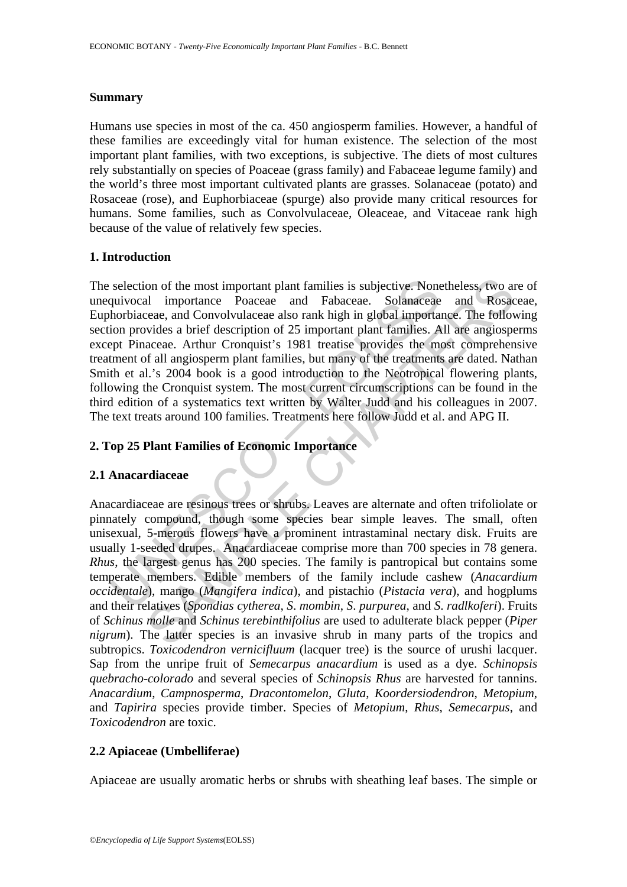#### **Summary**

Humans use species in most of the ca. 450 angiosperm families. However, a handful of these families are exceedingly vital for human existence. The selection of the most important plant families, with two exceptions, is subjective. The diets of most cultures rely substantially on species of Poaceae (grass family) and Fabaceae legume family) and the world's three most important cultivated plants are grasses. Solanaceae (potato) and Rosaceae (rose), and Euphorbiaceae (spurge) also provide many critical resources for humans. Some families, such as Convolvulaceae, Oleaceae, and Vitaceae rank high because of the value of relatively few species.

## **1. Introduction**

selection of the most important plant families is subjective. None<br>quivocal importance Poaceae and Fabaceae. Solanaceae<br>horbiaceae, and Convolvulaceae also rank high in global importa<br>ion provides a brief description of 25 The selection of the most important plant families is subjective. Nonetheless, two are of unequivocal importance Poaceae and Fabaceae. Solanaceae and Rosaceae, Euphorbiaceae, and Convolvulaceae also rank high in global importance. The following section provides a brief description of 25 important plant families. All are angiosperms except Pinaceae. Arthur Cronquist's 1981 treatise provides the most comprehensive treatment of all angiosperm plant families, but many of the treatments are dated. Nathan Smith et al.'s 2004 book is a good introduction to the Neotropical flowering plants, following the Cronquist system. The most current circumscriptions can be found in the third edition of a systematics text written by Walter Judd and his colleagues in 2007. The text treats around 100 families. Treatments here follow Judd et al. and APG II.

## **2. Top 25 Plant Families of Economic Importance**

## **2.1 Anacardiaceae**

on of the most important plant families is subjective. Nonetheless, two and<br>
importance Poaceae and Fabaceae. Solanaceae and Rosac<br>
ceae, and Convolvulaceae also rank high in global importance. The follow<br>
vivides a brief Anacardiaceae are resinous trees or shrubs. Leaves are alternate and often trifoliolate or pinnately compound, though some species bear simple leaves. The small, often unisexual, 5-merous flowers have a prominent intrastaminal nectary disk. Fruits are usually 1-seeded drupes. Anacardiaceae comprise more than 700 species in 78 genera. *Rhus*, the largest genus has 200 species. The family is pantropical but contains some temperate members. Edible members of the family include cashew (*Anacardium occidentale*), mango (*Mangifera indica*), and pistachio (*Pistacia vera*), and hogplums and their relatives (*Spondias cytherea*, *S*. *mombin*, *S*. *purpurea*, and *S*. *radlkoferi*). Fruits of *Schinus molle* and *Schinus terebinthifolius* are used to adulterate black pepper (*Piper nigrum*). The latter species is an invasive shrub in many parts of the tropics and subtropics. *Toxicodendron vernicifluum* (lacquer tree) is the source of urushi lacquer. Sap from the unripe fruit of *Semecarpus anacardium* is used as a dye. *Schinopsis quebracho-colorado* and several species of *Schinopsis Rhus* are harvested for tannins. *Anacardium*, *Campnosperma*, *Dracontomelon*, *Gluta*, *Koordersiodendron*, *Metopium*, and *Tapirira* species provide timber. Species of *Metopium*, *Rhus*, *Semecarpus*, and *Toxicodendron* are toxic.

## **2.2 Apiaceae (Umbelliferae)**

Apiaceae are usually aromatic herbs or shrubs with sheathing leaf bases. The simple or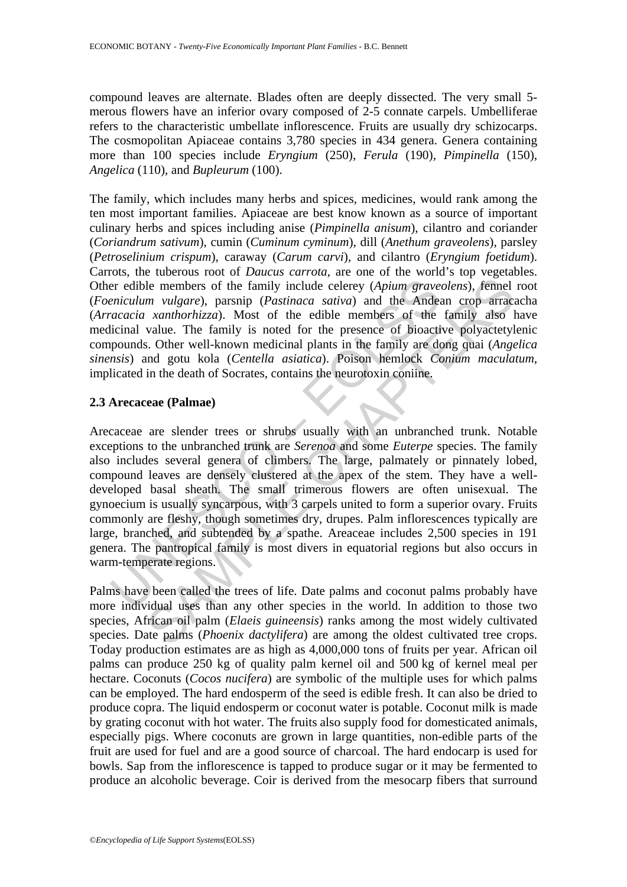compound leaves are alternate. Blades often are deeply dissected. The very small 5 merous flowers have an inferior ovary composed of 2-5 connate carpels. Umbelliferae refers to the characteristic umbellate inflorescence. Fruits are usually dry schizocarps. The cosmopolitan Apiaceae contains 3,780 species in 434 genera. Genera containing more than 100 species include *Eryngium* (250), *Ferula* (190), *Pimpinella* (150), *Angelica* (110), and *Bupleurum* (100).

The family, which includes many herbs and spices, medicines, would rank among the ten most important families. Apiaceae are best know known as a source of important culinary herbs and spices including anise (*Pimpinella anisum*), cilantro and coriander (*Coriandrum sativum*), cumin (*Cuminum cyminum*), dill (*Anethum graveolens*), parsley (*Petroselinium crispum*), caraway (*Carum carvi*), and cilantro (*Eryngium foetidum*). Carrots, the tuberous root of *Daucus carrota*, are one of the world's top vegetables. Other edible members of the family include celerey (*Apium graveolens*), fennel root (*Foeniculum vulgare*), parsnip (*Pastinaca sativa*) and the Andean crop arracacha (*Arracacia xanthorhizza*). Most of the edible members of the family also have medicinal value. The family is noted for the presence of bioactive polyactetylenic compounds. Other well-known medicinal plants in the family are dong quai (*Angelica sinensis*) and gotu kola (*Centella asiatica*). Poison hemlock *Conium maculatum*, implicated in the death of Socrates, contains the neurotoxin coniine.

#### **2.3 Arecaceae (Palmae)**

er edible members of the family include celerey (*Apium grave*<br>eniculum vulgare), parsnip (*Pastinaca sativa*) and the Andea<br>eacacia xanthorhizza). Most of the edible members of the<br>licinal value. The family is noted for t le members of the family include celerey (Apium graveolens), femel<br>
m vulgare), parsnip (Pastinaca sativa) and the Andean crop arracis<br>
xanthorbizza). Most of the edible members of the family also<br>
xanthorbizza). Most of Arecaceae are slender trees or shrubs usually with an unbranched trunk. Notable exceptions to the unbranched trunk are *Serenoa* and some *Euterpe* species. The family also includes several genera of climbers. The large, palmately or pinnately lobed, compound leaves are densely clustered at the apex of the stem. They have a welldeveloped basal sheath. The small trimerous flowers are often unisexual. The gynoecium is usually syncarpous, with 3 carpels united to form a superior ovary. Fruits commonly are fleshy, though sometimes dry, drupes. Palm inflorescences typically are large, branched, and subtended by a spathe. Areaceae includes 2,500 species in 191 genera. The pantropical family is most divers in equatorial regions but also occurs in warm-temperate regions.

Palms have been called the trees of life. Date palms and coconut palms probably have more individual uses than any other species in the world. In addition to those two species, African oil palm (*Elaeis guineensis*) ranks among the most widely cultivated species. Date palms (*Phoenix dactylifera*) are among the oldest cultivated tree crops. Today production estimates are as high as 4,000,000 tons of fruits per year. African oil palms can produce 250 kg of quality palm kernel oil and 500 kg of kernel meal per hectare. Coconuts (*Cocos nucifera*) are symbolic of the multiple uses for which palms can be employed. The hard endosperm of the seed is edible fresh. It can also be dried to produce copra. The liquid endosperm or coconut water is potable. Coconut milk is made by grating coconut with hot water. The fruits also supply food for domesticated animals, especially pigs. Where coconuts are grown in large quantities, non-edible parts of the fruit are used for fuel and are a good source of charcoal. The hard endocarp is used for bowls. Sap from the inflorescence is tapped to produce sugar or it may be fermented to produce an alcoholic beverage. Coir is derived from the mesocarp fibers that surround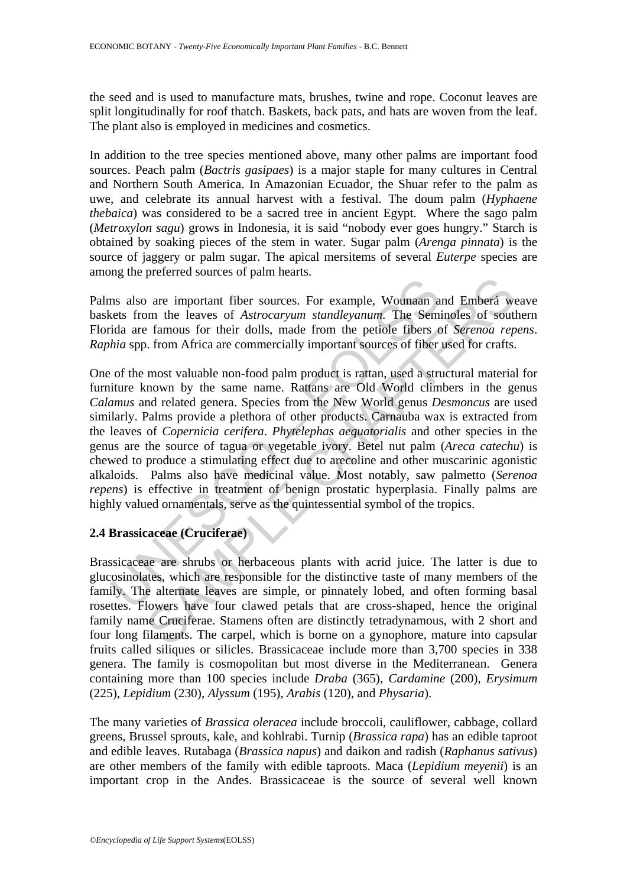the seed and is used to manufacture mats, brushes, twine and rope. Coconut leaves are split longitudinally for roof thatch. Baskets, back pats, and hats are woven from the leaf. The plant also is employed in medicines and cosmetics.

In addition to the tree species mentioned above, many other palms are important food sources. Peach palm (*Bactris gasipaes*) is a major staple for many cultures in Central and Northern South America. In Amazonian Ecuador, the Shuar refer to the palm as uwe, and celebrate its annual harvest with a festival. The doum palm (*Hyphaene thebaica*) was considered to be a sacred tree in ancient Egypt. Where the sago palm (*Metroxylon sagu*) grows in Indonesia, it is said "nobody ever goes hungry." Starch is obtained by soaking pieces of the stem in water. Sugar palm (*Arenga pinnata*) is the source of jaggery or palm sugar. The apical mersitems of several *Euterpe* species are among the preferred sources of palm hearts.

Palms also are important fiber sources. For example, Wounaan and Emberá weave baskets from the leaves of *Astrocaryum standleyanum*. The Seminoles of southern Florida are famous for their dolls, made from the petiole fibers of *Serenoa repens*. *Raphia* spp. from Africa are commercially important sources of fiber used for crafts.

The same important fiber sources. For example, Wounaan and the served is from the leaves of *Astrocaryum standleyanum*. The Semida are famous for their dolls, made from the petiole fibers chial sp. from Africa are commerci parameter and Embersion and Embersion and Embersion and Embersion and Embersion and Embersion and Embers of Astroccaryum standleyanum. The Seminoles of south the manus for their dolls, made from the petiole fibers of Seren One of the most valuable non-food palm product is rattan, used a structural material for furniture known by the same name. Rattans are Old World climbers in the genus *Calamus* and related genera. Species from the New World genus *Desmoncus* are used similarly. Palms provide a plethora of other products. Carnauba wax is extracted from the leaves of *Copernicia cerifera*. *Phytelephas aequatorialis* and other species in the genus are the source of tagua or vegetable ivory. Betel nut palm (*Areca catechu*) is chewed to produce a stimulating effect due to arecoline and other muscarinic agonistic alkaloids. Palms also have medicinal value. Most notably, saw palmetto (*Serenoa repens*) is effective in treatment of benign prostatic hyperplasia. Finally palms are highly valued ornamentals, serve as the quintessential symbol of the tropics.

## **2.4 Brassicaceae (Cruciferae)**

Brassicaceae are shrubs or herbaceous plants with acrid juice. The latter is due to glucosinolates, which are responsible for the distinctive taste of many members of the family. The alternate leaves are simple, or pinnately lobed, and often forming basal rosettes. Flowers have four clawed petals that are cross-shaped, hence the original family name Cruciferae. Stamens often are distinctly tetradynamous, with 2 short and four long filaments. The carpel, which is borne on a gynophore, mature into capsular fruits called siliques or silicles. Brassicaceae include more than 3,700 species in 338 genera. The family is cosmopolitan but most diverse in the Mediterranean. Genera containing more than 100 species include *Draba* (365), *Cardamine* (200), *Erysimum* (225), *Lepidium* (230), *Alyssum* (195), *Arabis* (120), and *Physaria*).

The many varieties of *Brassica oleracea* include broccoli, cauliflower, cabbage, collard greens, Brussel sprouts, kale, and kohlrabi. Turnip (*Brassica rapa*) has an edible taproot and edible leaves. Rutabaga (*Brassica napus*) and daikon and radish (*Raphanus sativus*) are other members of the family with edible taproots. Maca (*Lepidium meyenii*) is an important crop in the Andes. Brassicaceae is the source of several well known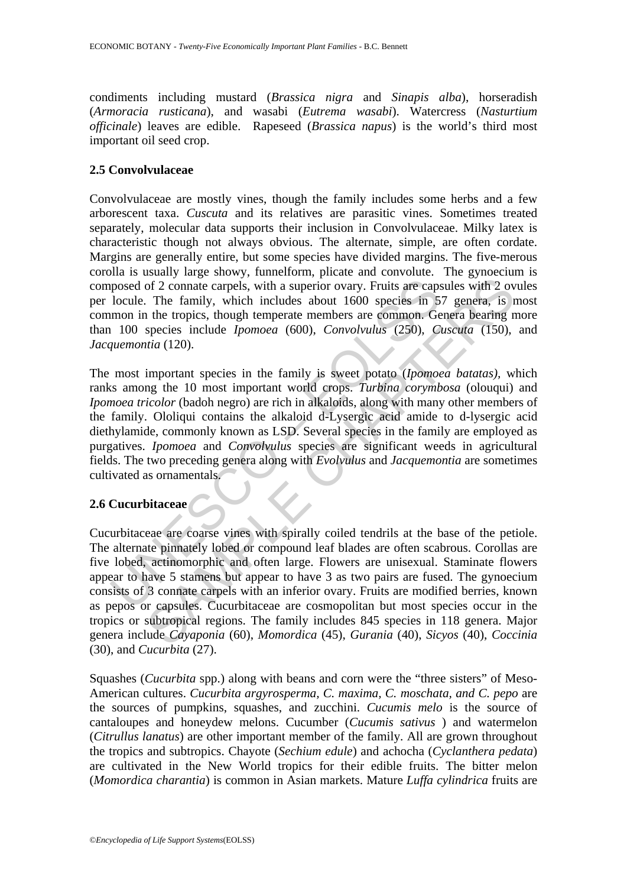condiments including mustard (*Brassica nigra* and *Sinapis alba*), horseradish (*Armoracia rusticana*), and wasabi (*Eutrema wasabi*). Watercress (*Nasturtium officinale*) leaves are edible. Rapeseed (*Brassica napus*) is the world's third most important oil seed crop.

## **2.5 Convolvulaceae**

Convolvulaceae are mostly vines, though the family includes some herbs and a few arborescent taxa. *Cuscuta* and its relatives are parasitic vines. Sometimes treated separately, molecular data supports their inclusion in Convolvulaceae. Milky latex is characteristic though not always obvious. The alternate, simple, are often cordate. Margins are generally entire, but some species have divided margins. The five-merous corolla is usually large showy, funnelform, plicate and convolute. The gynoecium is composed of 2 connate carpels, with a superior ovary. Fruits are capsules with 2 ovules per locule. The family, which includes about 1600 species in 57 genera, is most common in the tropics, though temperate members are common. Genera bearing more than 100 species include *Ipomoea* (600), *Convolvulus* (250), *Cuscuta* (150), and *Jacquemontia* (120).

posed of 2 connate carpels, with a superior ovary. Fruits are caps<br>locule. The family, which includes about 1600 species in 5<br>mon in the tropics, though temperate members are common. Ge<br>100 species include *Ipomoea* (600), The most important species in the family is sweet potato (*Ipomoea batatas),* which ranks among the 10 most important world crops. *Turbina corymbosa* (olouqui) and *Ipomoea tricolor* (badoh negro) are rich in alkaloids, along with many other members of the family. Ololiqui contains the alkaloid d-Lysergic acid amide to d-lysergic acid diethylamide, commonly known as LSD. Several species in the family are employed as purgatives. *Ipomoea* and *Convolvulus* species are significant weeds in agricultural fields. The two preceding genera along with *Evolvulus* and *Jacquemontia* are sometimes cultivated as ornamentals.

## **2.6 Cucurbitaceae**

of 2 connate carpels, with a superior ovary. Fruits are capsules with 2 ov<br>The family, which includes about 1600 species in 57 genera, is the tropics, though temperate members are common. Genera bearing n the tropics, tho Cucurbitaceae are coarse vines with spirally coiled tendrils at the base of the petiole. The alternate pinnately lobed or compound leaf blades are often scabrous. Corollas are five lobed, actinomorphic and often large. Flowers are unisexual. Staminate flowers appear to have 5 stamens but appear to have 3 as two pairs are fused. The gynoecium consists of 3 connate carpels with an inferior ovary. Fruits are modified berries, known as pepos or capsules. Cucurbitaceae are cosmopolitan but most species occur in the tropics or subtropical regions. The family includes 845 species in 118 genera. Major genera include *Cayaponia* (60), *Momordica* (45), *Gurania* (40), *Sicyos* (40), *Coccinia* (30), and *Cucurbita* (27).

Squashes (*Cucurbita* spp.) along with beans and corn were the "three sisters" of Meso-American cultures. *Cucurbita argyrosperma, C. maxima, C. moschata, and C. pepo* are the sources of pumpkins, squashes, and zucchini. *Cucumis melo* is the source of cantaloupes and honeydew melons. Cucumber (*Cucumis sativus* ) and watermelon (*Citrullus lanatus*) are other important member of the family. All are grown throughout the tropics and subtropics. Chayote (*Sechium edule*) and achocha (*Cyclanthera pedata*) are cultivated in the New World tropics for their edible fruits. The bitter melon (*Momordica charantia*) is common in Asian markets. Mature *Luffa cylindrica* fruits are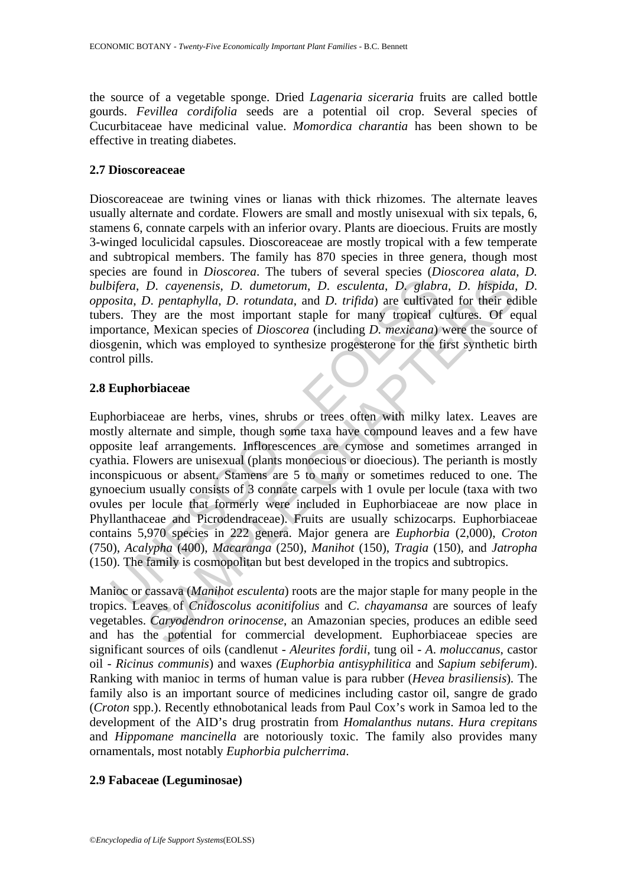the source of a vegetable sponge. Dried *Lagenaria siceraria* fruits are called bottle gourds. *Fevillea cordifolia* seeds are a potential oil crop. Several species of Cucurbitaceae have medicinal value. *Momordica charantia* has been shown to be effective in treating diabetes.

#### **2.7 Dioscoreaceae**

Dioscoreaceae are twining vines or lianas with thick rhizomes. The alternate leaves usually alternate and cordate. Flowers are small and mostly unisexual with six tepals, 6, stamens 6, connate carpels with an inferior ovary. Plants are dioecious. Fruits are mostly 3-winged loculicidal capsules. Dioscoreaceae are mostly tropical with a few temperate and subtropical members. The family has 870 species in three genera, though most species are found in *Dioscorea*. The tubers of several species (*Dioscorea alata*, *D. bulbifera*, *D*. *cayenensis*, *D*. *dumetorum*, *D*. *esculenta*, *D*. *glabra*, *D*. *hispida*, *D*. *opposita*, *D*. *pentaphylla*, *D*. *rotundata*, and *D*. *trifida*) are cultivated for their edible tubers. They are the most important staple for many tropical cultures. Of equal importance, Mexican species of *Dioscorea* (including *D. mexicana*) were the source of diosgenin, which was employed to synthesize progesterone for the first synthetic birth control pills.

#### **2.8 Euphorbiaceae**

ightera, D. cayenensis, D. dumetorum, D. esculenta, D. glabrosita, D. pentaphylla, D. rotundata, and D. trifida) are cultivat rss. They are the most important staple for many tropical cortance, Mexican species of Dioscorea D. cayenensis, D. dumetorum, D. esculenta, D. glabra, D. hispida,<br>
D. cayenensis, D. dumetorum, D. esculenta, D. glabra, D. hispida,<br>
D. pentaphylla, D. rotundata, and D. trifida) are cultivated for their ecc<br>
ey are the m Euphorbiaceae are herbs, vines, shrubs or trees often with milky latex. Leaves are mostly alternate and simple, though some taxa have compound leaves and a few have opposite leaf arrangements. Inflorescences are cymose and sometimes arranged in cyathia. Flowers are unisexual (plants monoecious or dioecious). The perianth is mostly inconspicuous or absent. Stamens are 5 to many or sometimes reduced to one. The gynoecium usually consists of 3 connate carpels with 1 ovule per locule (taxa with two ovules per locule that formerly were included in Euphorbiaceae are now place in Phyllanthaceae and Picrodendraceae). Fruits are usually schizocarps. Euphorbiaceae contains 5,970 species in 222 genera. Major genera are *Euphorbia* (2,000), *Croton*  (750), *Acalypha* (400), *Macaranga* (250), *Manihot* (150), *Tragia* (150), and *Jatropha* (150). The family is cosmopolitan but best developed in the tropics and subtropics.

Manioc or cassava (*Manihot esculenta*) roots are the major staple for many people in the tropics. Leaves of *Cnidoscolus aconitifolius* and *C*. *chayamansa* are sources of leafy vegetables. *Caryodendron orinocense*, an Amazonian species, produces an edible seed and has the potential for commercial development. Euphorbiaceae species are significant sources of oils (candlenut - *Aleurites fordii*, tung oil - *A*. *moluccanus*, castor oil - *Ricinus communis*) and waxes *(Euphorbia antisyphilitica* and *Sapium sebiferum*). Ranking with manioc in terms of human value is para rubber (*Hevea brasiliensis*)*.* The family also is an important source of medicines including castor oil, sangre de grado (*Croton* spp.). Recently ethnobotanical leads from Paul Cox's work in Samoa led to the development of the AID's drug prostratin from *Homalanthus nutans*. *Hura crepitans* and *Hippomane mancinella* are notoriously toxic. The family also provides many ornamentals, most notably *Euphorbia pulcherrima*.

## **2.9 Fabaceae (Leguminosae)**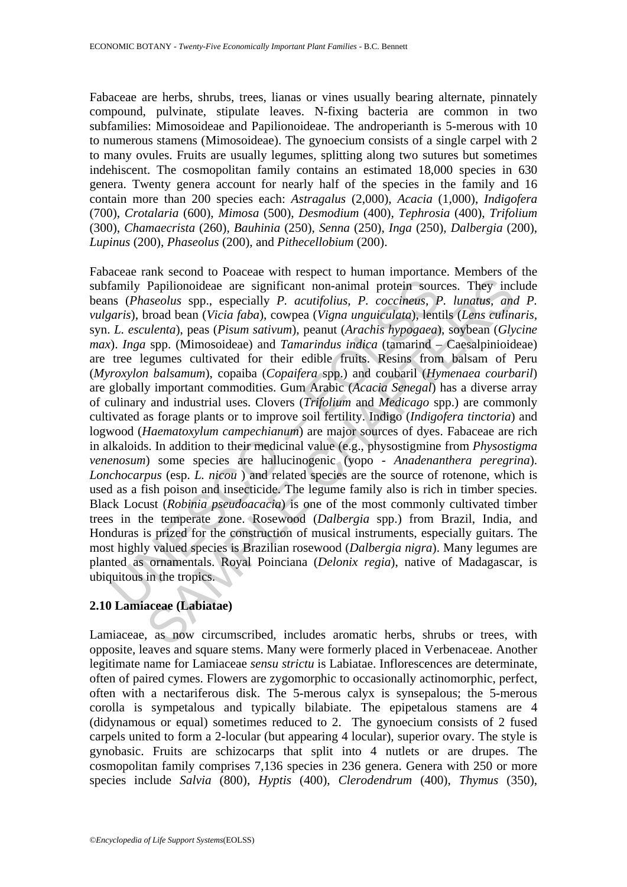Fabaceae are herbs, shrubs, trees, lianas or vines usually bearing alternate, pinnately compound, pulvinate, stipulate leaves. N-fixing bacteria are common in two subfamilies: Mimosoideae and Papilionoideae. The androperianth is 5-merous with 10 to numerous stamens (Mimosoideae). The gynoecium consists of a single carpel with 2 to many ovules. Fruits are usually legumes, splitting along two sutures but sometimes indehiscent. The cosmopolitan family contains an estimated 18,000 species in 630 genera. Twenty genera account for nearly half of the species in the family and 16 contain more than 200 species each: *Astragalus* (2,000), *Acacia* (1,000), *Indigofera* (700), *Crotalaria* (600), *Mimosa* (500), *Desmodium* (400), *Tephrosia* (400), *Trifolium* (300), *Chamaecrista* (260), *Bauhinia* (250), *Senna* (250), *Inga* (250), *Dalbergia* (200), *Lupinus* (200), *Phaseolus* (200), and *Pithecellobium* (200).

family Papilionoideae are significant non-animal protein sours (Phaseolus spp., especially P. acutifolius, P. coccineus, P. L. esculenta), peas (Visia faba), cowpea (Vigna unguiculata), lent L. esculenta), peas (Pisum sati Papilionoideae are significant non-animal protein sources. They incosed bean (Vicia *data)*, concerness, *P.* lunatus, and any concerned bean (Vicia *data)*, coverness, *P.* lunatus, and one (Vicia *data)*, composable and Fabaceae rank second to Poaceae with respect to human importance. Members of the subfamily Papilionoideae are significant non-animal protein sources. They include beans (*Phaseolus* spp., especially *P. acutifolius, P. coccineus, P. lunatus, and P. vulgaris*), broad bean (*Vicia faba*), cowpea (*Vigna unguiculata*), lentils (*Lens culinaris,*  syn. *L. esculenta*), peas (*Pisum sativum*), peanut (*Arachis hypogaea*), soybean (*Glycine max*). *Inga* spp. (Mimosoideae) and *Tamarindus indica* (tamarind – Caesalpinioideae) are tree legumes cultivated for their edible fruits. Resins from balsam of Peru (*Myroxylon balsamum*), copaiba (*Copaifera* spp.) and coubaril (*Hymenaea courbaril*) are globally important commodities. Gum Arabic (*Acacia Senegal*) has a diverse array of culinary and industrial uses. Clovers (*Trifolium* and *Medicago* spp.) are commonly cultivated as forage plants or to improve soil fertility. Indigo (*Indigofera tinctoria*) and logwood (*Haematoxylum campechianum*) are major sources of dyes. Fabaceae are rich in alkaloids. In addition to their medicinal value (e.g., physostigmine from *Physostigma venenosum*) some species are hallucinogenic (yopo - *Anadenanthera peregrina*). *Lonchocarpus* (esp. *L. nicou* ) and related species are the source of rotenone, which is used as a fish poison and insecticide. The legume family also is rich in timber species. Black Locust (*Robinia pseudoacacia*) is one of the most commonly cultivated timber trees in the temperate zone. Rosewood (*Dalbergia* spp.) from Brazil, India, and Honduras is prized for the construction of musical instruments, especially guitars. The most highly valued species is Brazilian rosewood (*Dalbergia nigra*). Many legumes are planted as ornamentals. Royal Poinciana (*Delonix regia*), native of Madagascar, is ubiquitous in the tropics.

## **2.10 Lamiaceae (Labiatae)**

Lamiaceae, as now circumscribed, includes aromatic herbs, shrubs or trees, with opposite, leaves and square stems. Many were formerly placed in Verbenaceae. Another legitimate name for Lamiaceae *sensu strictu* is Labiatae. Inflorescences are determinate, often of paired cymes. Flowers are zygomorphic to occasionally actinomorphic, perfect, often with a nectariferous disk. The 5-merous calyx is synsepalous; the 5-merous corolla is sympetalous and typically bilabiate. The epipetalous stamens are 4 (didynamous or equal) sometimes reduced to 2. The gynoecium consists of 2 fused carpels united to form a 2-locular (but appearing 4 locular), superior ovary. The style is gynobasic. Fruits are schizocarps that split into 4 nutlets or are drupes. The cosmopolitan family comprises 7,136 species in 236 genera. Genera with 250 or more species include *Salvia* (800), *Hyptis* (400), *Clerodendrum* (400), *Thymus* (350),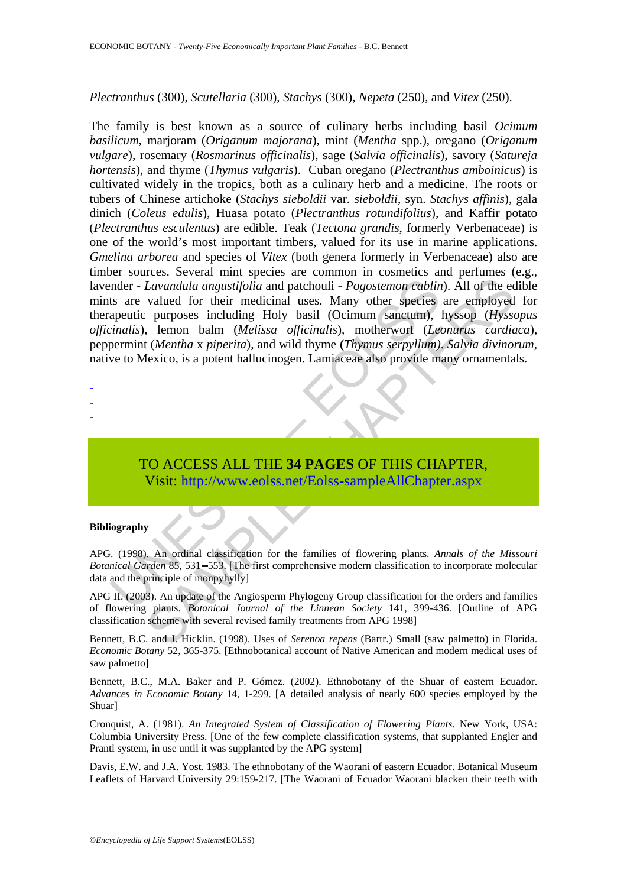#### *Plectranthus* (300), *Scutellaria* (300), *Stachys* (300), *Nepeta* (250), and *Vitex* (250).

market and any extint and patchouli - *Pogostemon cablin*<br>that are valued for their medicinal uses. Many other species<br>apeutic purposes including Holy basil (Ocimum sanctum),<br>inalis), lemon balm (*Melissa officinalis*), mo Lavandula angustifolia and patchouli - *Pogostemon cablin*). All of the econder of their medicinal uses. Many other species are employed proposed incoming Holy basil ([C](https://www.eolss.net/ebooklib/sc_cart.aspx?File=E6-118-03)eimum sanctum), hyssop (*Hysses* including Holy basil The family is best known as a source of culinary herbs including basil *Ocimum basilicum*, marjoram (*Origanum majorana*), mint (*Mentha* spp.), oregano (*Origanum vulgare*), rosemary (*Rosmarinus officinalis*), sage (*Salvia officinalis*), savory (*Satureja hortensis*), and thyme (*Thymus vulgaris*). Cuban oregano (*Plectranthus amboinicus*) is cultivated widely in the tropics, both as a culinary herb and a medicine. The roots or tubers of Chinese artichoke (*Stachys sieboldii* var. *sieboldii*, syn. *Stachys affinis*), gala dinich (*Coleus edulis*), Huasa potato (*Plectranthus rotundifolius*), and Kaffir potato (*Plectranthus esculentus*) are edible. Teak (*Tectona grandis*, formerly Verbenaceae) is one of the world's most important timbers, valued for its use in marine applications. *Gmelina arborea* and species of *Vitex* (both genera formerly in Verbenaceae) also are timber sources. Several mint species are common in cosmetics and perfumes (e.g., lavender - *Lavandula angustifolia* and patchouli - *Pogostemon cablin*). All of the edible mints are valued for their medicinal uses. Many other species are employed for therapeutic purposes including Holy basil (Ocimum sanctum), hyssop (*Hyssopus officinalis*), lemon balm (*Melissa officinalis*), motherwort (*Leonurus cardiaca*), peppermint (*Mentha* x *piperita*), and wild thyme **(***Thymus serpyllum)*. *Salvia divinorum*, native to Mexico, is a potent hallucinogen. Lamiaceae also provide many ornamentals.

- -
- -
- -

# TO ACCESS ALL THE **34 PAGES** OF THIS CHAPTER, Visit: http://www.eolss.net/Eolss-sampleAllChapter.aspx

#### **Bibliography**

APG. (1998). An ordinal classification for the families of flowering plants. *Annals of the Missouri Botanical Garden* 85, 531–553. [The first comprehensive modern classification to incorporate molecular data and the principle of monpyhylly]

APG II. (2003). An update of the Angiosperm Phylogeny Group classification for the orders and families of flowering plants. *Botanical Journal of the Linnean Society* 141, 399-436. [Outline of APG classification scheme with several revised family treatments from APG 1998]

Bennett, B.C. and J. Hicklin. (1998). Uses of *Serenoa repens* (Bartr.) Small (saw palmetto) in Florida. *Economic Botany* 52, 365-375. [Ethnobotanical account of Native American and modern medical uses of saw palmetto]

Bennett, B.C., M.A. Baker and P. Gómez. (2002). Ethnobotany of the Shuar of eastern Ecuador. *Advances in Economic Botany* 14, 1-299. [A detailed analysis of nearly 600 species employed by the Shuar]

Cronquist, A. (1981). *An Integrated System of Classification of Flowering Plants*. New York, USA: Columbia University Press. [One of the few complete classification systems, that supplanted Engler and Prantl system, in use until it was supplanted by the APG system]

Davis, E.W. and J.A. Yost. 1983. The ethnobotany of the Waorani of eastern Ecuador. Botanical Museum Leaflets of Harvard University 29:159-217. [The Waorani of Ecuador Waorani blacken their teeth with